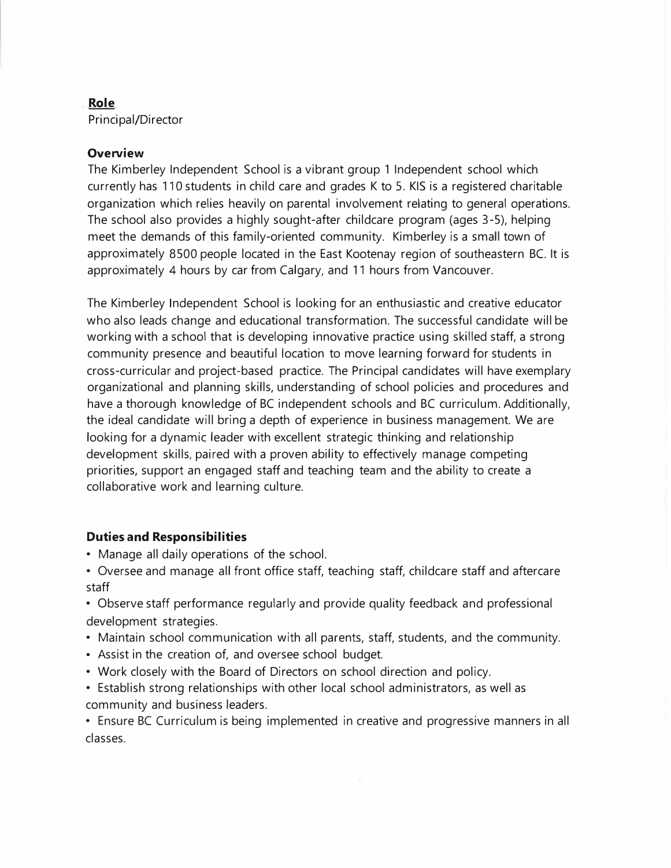## **Role**

Principal/Director

## **Overview**

The Kimberley Independent School is a vibrant group 1 Independent school which currently has 110 students in child care and grades K to 5. KIS is a registered charitable organization which relies heavily on parental involvement relating to general operations. The school also provides a highly sought-after childcare program (ages 3-5), helping meet the demands of this family-oriented community. Kimberley is a small town of approximately 8500 people located in the East Kootenay region of southeastern BC. It is approximately 4 hours by car from Calgary, and 11 hours from Vancouver.

The Kimberley Independent School is looking for an enthusiastic and creative educator who also leads change and educational transformation. The successful candidate will be working with a school that is developing innovative practice using skilled staff, a strong community presence and beautiful location to move learning forward for students in cross-curricular and project-based practice. The Principal candidates will have exemplary organizational and planning skills, understanding of school policies and procedures and have a thorough knowledge of BC independent schools and BC curriculum. Additionally, the ideal candidate will bring a depth of experience in business management. We are looking for a dynamic leader with excellent strategic thinking and relationship development skills, paired with a proven ability to effectively manage competing priorities, support an engaged staff and teaching team and the ability to create a collaborative work and learning culture.

## **Duties and Responsibilities**

• Manage all daily operations of the school.

• Oversee and manage all front office staff, teaching staff, childcare staff and aftercare staff

• Observe staff performance regularly and provide quality feedback and professional development strategies.

- Maintain school communication with all parents, staff, students, and the community.
- Assist in the creation of, and oversee school budget.
- Work closely with the Board of Directors on school direction and policy.
- Establish strong relationships with other local school administrators, as well as community and business leaders.

• Ensure BC Curriculum is being implemented in creative and progressive manners in all classes.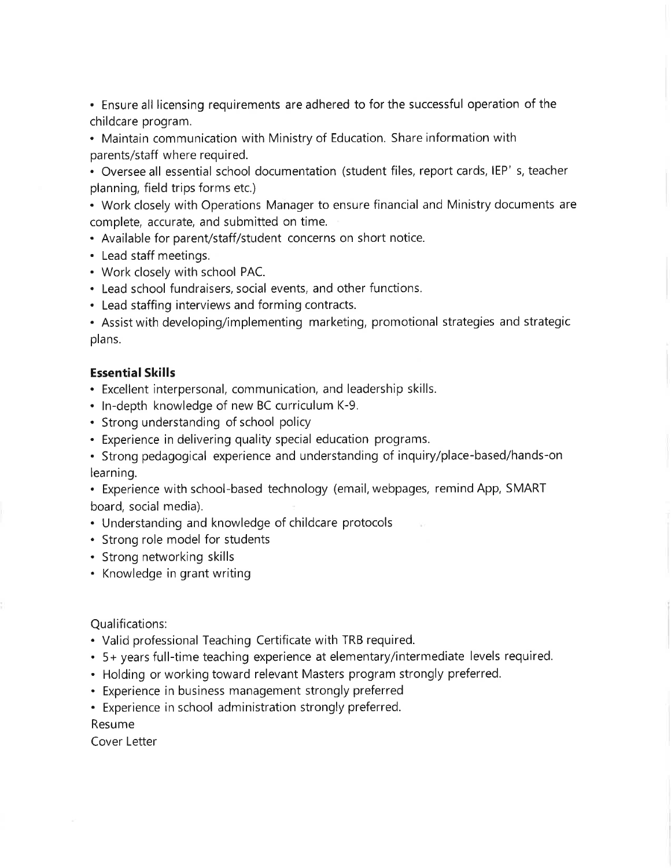• Ensure all licensing requirements are adhered to for the successful operation of the childcare program.

• Maintain communication with Ministry of Education. Share information with parents/staff where required.

· Oversee all essential school documentation (student files, report cards, IEP' s, teacher planning, field trips forms etc.)

• Work closely with Operations Manager to ensure financial and Ministry documents are complete, accurate, and submitted on time.

- Available for parent/staff/student concerns on short notice.
- Lead staff meetings.
- Work closely with school PAC.
- Lead school fundraisers, social events, and other functions.
- Lead staffing interviews and forming contracts.
- Assist with developing/implementing marketing, promotional strategies and strategic plans.

## **Essential Skills**

- Excellent interpersonal, communication, and leadership skills.
- In-depth knowledge of new BC curriculum K-9.
- Strong understanding of school policy
- Experience in delivering quality special education programs.
- Strong pedagogical experience and understanding of inquiry/place-based/hands-on learning.

• Experience with school-based technology (email, webpages, remind App, SMART board, social media).

- Understanding and knowledge of childcare protocols
- Strong role model for students
- Strong networking skills
- Knowledge in grant writing

**Qualifications:** 

- Valid professional Teaching Certificate with TRB required.
- 5+ years full-time teaching experience at elementary/intermediate levels required.
- Holding or working toward relevant Masters program strongly preferred.
- Experience in business management strongly preferred
- Experience in school administration strongly preferred.

Resume

Cover Letter